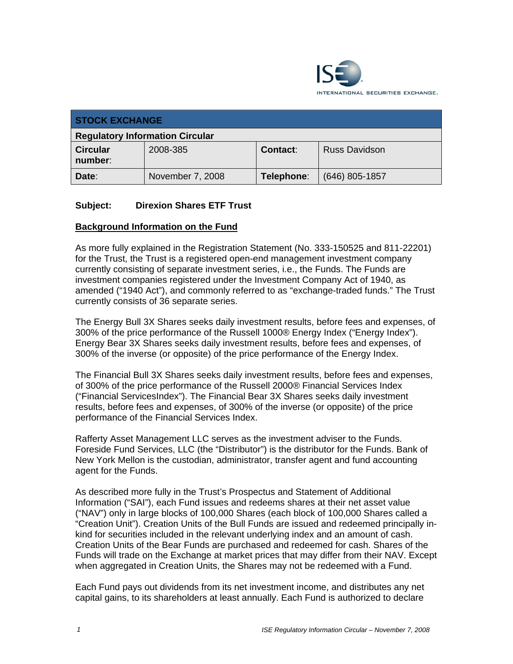

| <b>STOCK EXCHANGE</b>                  |                  |                 |                      |  |
|----------------------------------------|------------------|-----------------|----------------------|--|
| <b>Regulatory Information Circular</b> |                  |                 |                      |  |
| <b>Circular</b><br>number:             | 2008-385         | <b>Contact:</b> | <b>Russ Davidson</b> |  |
| Date:                                  | November 7, 2008 | Telephone:      | $(646)$ 805-1857     |  |

## **Subject: Direxion Shares ETF Trust**

#### **Background Information on the Fund**

As more fully explained in the Registration Statement (No. 333-150525 and 811-22201) for the Trust, the Trust is a registered open-end management investment company currently consisting of separate investment series, i.e., the Funds. The Funds are investment companies registered under the Investment Company Act of 1940, as amended ("1940 Act"), and commonly referred to as "exchange-traded funds." The Trust currently consists of 36 separate series.

The Energy Bull 3X Shares seeks daily investment results, before fees and expenses, of 300% of the price performance of the Russell 1000® Energy Index ("Energy Index"). Energy Bear 3X Shares seeks daily investment results, before fees and expenses, of 300% of the inverse (or opposite) of the price performance of the Energy Index.

The Financial Bull 3X Shares seeks daily investment results, before fees and expenses, of 300% of the price performance of the Russell 2000® Financial Services Index ("Financial ServicesIndex"). The Financial Bear 3X Shares seeks daily investment results, before fees and expenses, of 300% of the inverse (or opposite) of the price performance of the Financial Services Index.

Rafferty Asset Management LLC serves as the investment adviser to the Funds. Foreside Fund Services, LLC (the "Distributor") is the distributor for the Funds. Bank of New York Mellon is the custodian, administrator, transfer agent and fund accounting agent for the Funds.

As described more fully in the Trust's Prospectus and Statement of Additional Information ("SAI"), each Fund issues and redeems shares at their net asset value ("NAV") only in large blocks of 100,000 Shares (each block of 100,000 Shares called a "Creation Unit"). Creation Units of the Bull Funds are issued and redeemed principally inkind for securities included in the relevant underlying index and an amount of cash. Creation Units of the Bear Funds are purchased and redeemed for cash. Shares of the Funds will trade on the Exchange at market prices that may differ from their NAV. Except when aggregated in Creation Units, the Shares may not be redeemed with a Fund.

Each Fund pays out dividends from its net investment income, and distributes any net capital gains, to its shareholders at least annually. Each Fund is authorized to declare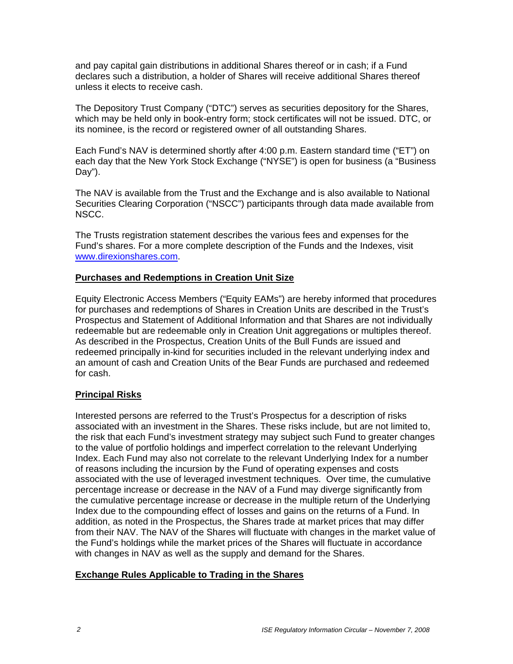and pay capital gain distributions in additional Shares thereof or in cash; if a Fund declares such a distribution, a holder of Shares will receive additional Shares thereof unless it elects to receive cash.

The Depository Trust Company ("DTC") serves as securities depository for the Shares, which may be held only in book-entry form; stock certificates will not be issued. DTC, or its nominee, is the record or registered owner of all outstanding Shares.

Each Fund's NAV is determined shortly after 4:00 p.m. Eastern standard time ("ET") on each day that the New York Stock Exchange ("NYSE") is open for business (a "Business Day").

The NAV is available from the Trust and the Exchange and is also available to National Securities Clearing Corporation ("NSCC") participants through data made available from NSCC.

The Trusts registration statement describes the various fees and expenses for the Fund's shares. For a more complete description of the Funds and the Indexes, visit www.direxionshares.com.

#### **Purchases and Redemptions in Creation Unit Size**

Equity Electronic Access Members ("Equity EAMs") are hereby informed that procedures for purchases and redemptions of Shares in Creation Units are described in the Trust's Prospectus and Statement of Additional Information and that Shares are not individually redeemable but are redeemable only in Creation Unit aggregations or multiples thereof. As described in the Prospectus, Creation Units of the Bull Funds are issued and redeemed principally in-kind for securities included in the relevant underlying index and an amount of cash and Creation Units of the Bear Funds are purchased and redeemed for cash.

## **Principal Risks**

Interested persons are referred to the Trust's Prospectus for a description of risks associated with an investment in the Shares. These risks include, but are not limited to, the risk that each Fund's investment strategy may subject such Fund to greater changes to the value of portfolio holdings and imperfect correlation to the relevant Underlying Index. Each Fund may also not correlate to the relevant Underlying Index for a number of reasons including the incursion by the Fund of operating expenses and costs associated with the use of leveraged investment techniques. Over time, the cumulative percentage increase or decrease in the NAV of a Fund may diverge significantly from the cumulative percentage increase or decrease in the multiple return of the Underlying Index due to the compounding effect of losses and gains on the returns of a Fund. In addition, as noted in the Prospectus, the Shares trade at market prices that may differ from their NAV. The NAV of the Shares will fluctuate with changes in the market value of the Fund's holdings while the market prices of the Shares will fluctuate in accordance with changes in NAV as well as the supply and demand for the Shares.

#### **Exchange Rules Applicable to Trading in the Shares**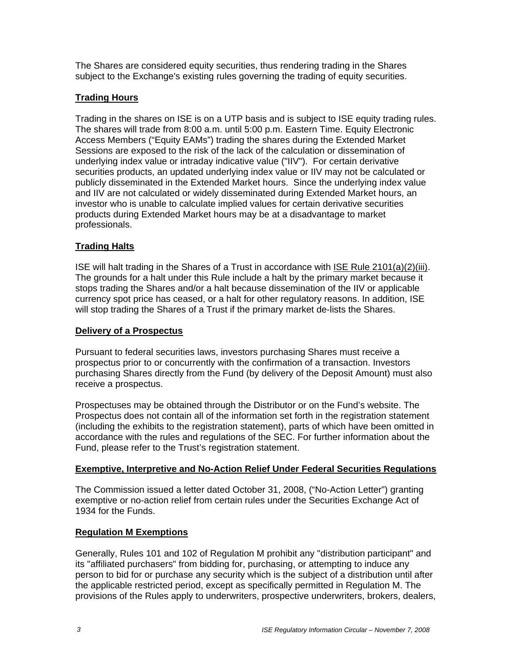The Shares are considered equity securities, thus rendering trading in the Shares subject to the Exchange's existing rules governing the trading of equity securities.

# **Trading Hours**

Trading in the shares on ISE is on a UTP basis and is subject to ISE equity trading rules. The shares will trade from 8:00 a.m. until 5:00 p.m. Eastern Time. Equity Electronic Access Members ("Equity EAMs") trading the shares during the Extended Market Sessions are exposed to the risk of the lack of the calculation or dissemination of underlying index value or intraday indicative value ("IIV"). For certain derivative securities products, an updated underlying index value or IIV may not be calculated or publicly disseminated in the Extended Market hours. Since the underlying index value and IIV are not calculated or widely disseminated during Extended Market hours, an investor who is unable to calculate implied values for certain derivative securities products during Extended Market hours may be at a disadvantage to market professionals.

# **Trading Halts**

ISE will halt trading in the Shares of a Trust in accordance with ISE Rule 2101(a)(2)(iii). The grounds for a halt under this Rule include a halt by the primary market because it stops trading the Shares and/or a halt because dissemination of the IIV or applicable currency spot price has ceased, or a halt for other regulatory reasons. In addition, ISE will stop trading the Shares of a Trust if the primary market de-lists the Shares.

#### **Delivery of a Prospectus**

Pursuant to federal securities laws, investors purchasing Shares must receive a prospectus prior to or concurrently with the confirmation of a transaction. Investors purchasing Shares directly from the Fund (by delivery of the Deposit Amount) must also receive a prospectus.

Prospectuses may be obtained through the Distributor or on the Fund's website. The Prospectus does not contain all of the information set forth in the registration statement (including the exhibits to the registration statement), parts of which have been omitted in accordance with the rules and regulations of the SEC. For further information about the Fund, please refer to the Trust's registration statement.

## **Exemptive, Interpretive and No-Action Relief Under Federal Securities Regulations**

The Commission issued a letter dated October 31, 2008, ("No-Action Letter") granting exemptive or no-action relief from certain rules under the Securities Exchange Act of 1934 for the Funds.

## **Regulation M Exemptions**

Generally, Rules 101 and 102 of Regulation M prohibit any "distribution participant" and its "affiliated purchasers" from bidding for, purchasing, or attempting to induce any person to bid for or purchase any security which is the subject of a distribution until after the applicable restricted period, except as specifically permitted in Regulation M. The provisions of the Rules apply to underwriters, prospective underwriters, brokers, dealers,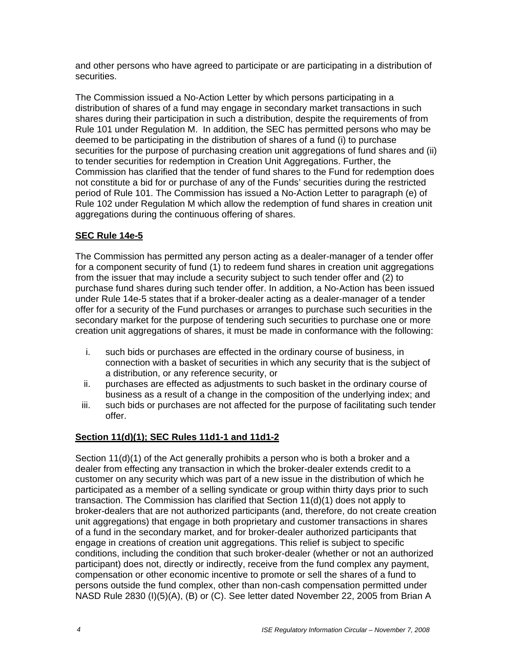and other persons who have agreed to participate or are participating in a distribution of securities.

The Commission issued a No-Action Letter by which persons participating in a distribution of shares of a fund may engage in secondary market transactions in such shares during their participation in such a distribution, despite the requirements of from Rule 101 under Regulation M. In addition, the SEC has permitted persons who may be deemed to be participating in the distribution of shares of a fund (i) to purchase securities for the purpose of purchasing creation unit aggregations of fund shares and (ii) to tender securities for redemption in Creation Unit Aggregations. Further, the Commission has clarified that the tender of fund shares to the Fund for redemption does not constitute a bid for or purchase of any of the Funds' securities during the restricted period of Rule 101. The Commission has issued a No-Action Letter to paragraph (e) of Rule 102 under Regulation M which allow the redemption of fund shares in creation unit aggregations during the continuous offering of shares.

## **SEC Rule 14e-5**

The Commission has permitted any person acting as a dealer-manager of a tender offer for a component security of fund (1) to redeem fund shares in creation unit aggregations from the issuer that may include a security subject to such tender offer and (2) to purchase fund shares during such tender offer. In addition, a No-Action has been issued under Rule 14e-5 states that if a broker-dealer acting as a dealer-manager of a tender offer for a security of the Fund purchases or arranges to purchase such securities in the secondary market for the purpose of tendering such securities to purchase one or more creation unit aggregations of shares, it must be made in conformance with the following:

- i. such bids or purchases are effected in the ordinary course of business, in connection with a basket of securities in which any security that is the subject of a distribution, or any reference security, or
- ii. purchases are effected as adjustments to such basket in the ordinary course of business as a result of a change in the composition of the underlying index; and
- iii. such bids or purchases are not affected for the purpose of facilitating such tender offer.

## **Section 11(d)(1); SEC Rules 11d1-1 and 11d1-2**

Section 11(d)(1) of the Act generally prohibits a person who is both a broker and a dealer from effecting any transaction in which the broker-dealer extends credit to a customer on any security which was part of a new issue in the distribution of which he participated as a member of a selling syndicate or group within thirty days prior to such transaction. The Commission has clarified that Section 11(d)(1) does not apply to broker-dealers that are not authorized participants (and, therefore, do not create creation unit aggregations) that engage in both proprietary and customer transactions in shares of a fund in the secondary market, and for broker-dealer authorized participants that engage in creations of creation unit aggregations. This relief is subject to specific conditions, including the condition that such broker-dealer (whether or not an authorized participant) does not, directly or indirectly, receive from the fund complex any payment, compensation or other economic incentive to promote or sell the shares of a fund to persons outside the fund complex, other than non-cash compensation permitted under NASD Rule 2830 (I)(5)(A), (B) or (C). See letter dated November 22, 2005 from Brian A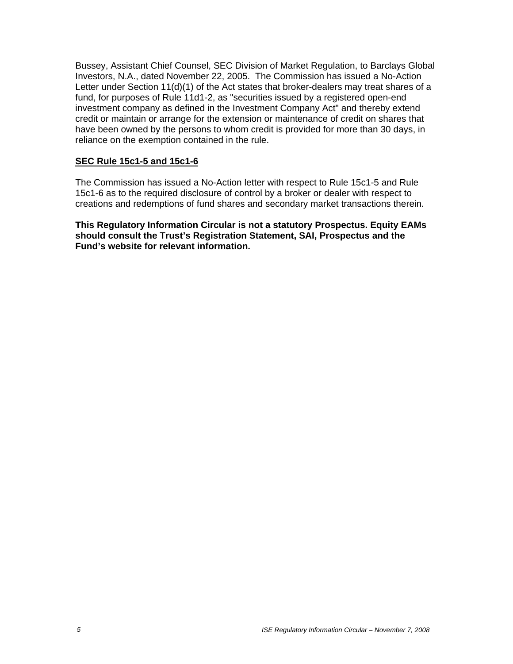Bussey, Assistant Chief Counsel, SEC Division of Market Regulation, to Barclays Global Investors, N.A., dated November 22, 2005. The Commission has issued a No-Action Letter under Section 11(d)(1) of the Act states that broker-dealers may treat shares of a fund, for purposes of Rule 11d1-2, as "securities issued by a registered open-end investment company as defined in the Investment Company Act" and thereby extend credit or maintain or arrange for the extension or maintenance of credit on shares that have been owned by the persons to whom credit is provided for more than 30 days, in reliance on the exemption contained in the rule.

## **SEC Rule 15c1-5 and 15c1-6**

The Commission has issued a No-Action letter with respect to Rule 15c1-5 and Rule 15c1-6 as to the required disclosure of control by a broker or dealer with respect to creations and redemptions of fund shares and secondary market transactions therein.

**This Regulatory Information Circular is not a statutory Prospectus. Equity EAMs should consult the Trust's Registration Statement, SAI, Prospectus and the Fund's website for relevant information.**